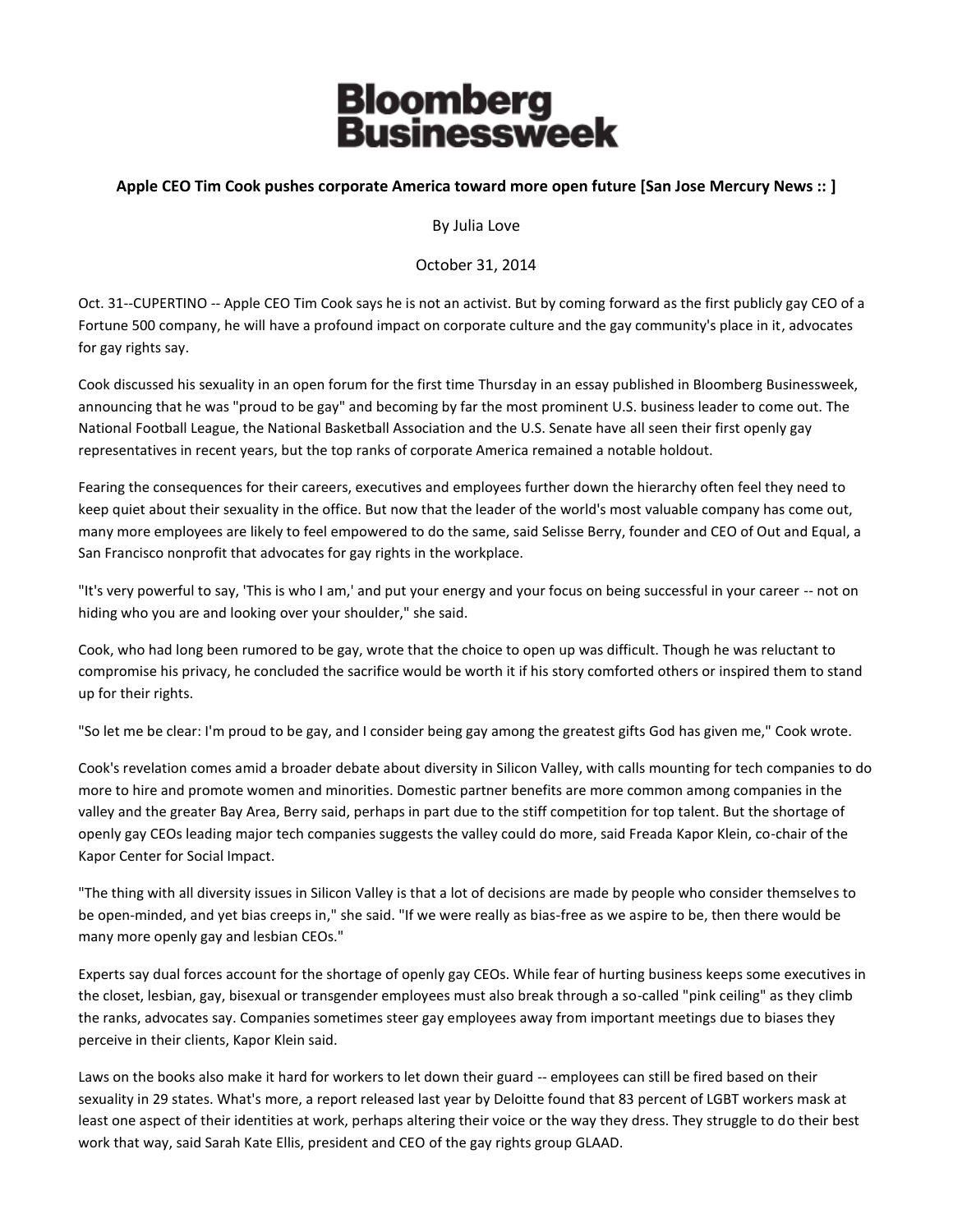## **Bloomberg<br>Businessweek**

## **Apple CEO Tim Cook pushes corporate America toward more open future [San Jose Mercury News :: ]**

By Julia Love

October 31, 2014

Oct. 31--CUPERTINO -- Apple CEO Tim Cook says he is not an activist. But by coming forward as the first publicly gay CEO of a Fortune 500 company, he will have a profound impact on corporate culture and the gay community's place in it, advocates for gay rights say.

Cook discussed his sexuality in an open forum for the first time Thursday in an essay published in Bloomberg Businessweek, announcing that he was "proud to be gay" and becoming by far the most prominent U.S. business leader to come out. The National Football League, the National Basketball Association and the U.S. Senate have all seen their first openly gay representatives in recent years, but the top ranks of corporate America remained a notable holdout.

Fearing the consequences for their careers, executives and employees further down the hierarchy often feel they need to keep quiet about their sexuality in the office. But now that the leader of the world's most valuable company has come out, many more employees are likely to feel empowered to do the same, said Selisse Berry, founder and CEO of Out and Equal, a San Francisco nonprofit that advocates for gay rights in the workplace.

"It's very powerful to say, 'This is who I am,' and put your energy and your focus on being successful in your career -- not on hiding who you are and looking over your shoulder," she said.

Cook, who had long been rumored to be gay, wrote that the choice to open up was difficult. Though he was reluctant to compromise his privacy, he concluded the sacrifice would be worth it if his story comforted others or inspired them to stand up for their rights.

"So let me be clear: I'm proud to be gay, and I consider being gay among the greatest gifts God has given me," Cook wrote.

Cook's revelation comes amid a broader debate about diversity in Silicon Valley, with calls mounting for tech companies to do more to hire and promote women and minorities. Domestic partner benefits are more common among companies in the valley and the greater Bay Area, Berry said, perhaps in part due to the stiff competition for top talent. But the shortage of openly gay CEOs leading major tech companies suggests the valley could do more, said Freada Kapor Klein, co-chair of the Kapor Center for Social Impact.

"The thing with all diversity issues in Silicon Valley is that a lot of decisions are made by people who consider themselves to be open-minded, and yet bias creeps in," she said. "If we were really as bias-free as we aspire to be, then there would be many more openly gay and lesbian CEOs."

Experts say dual forces account for the shortage of openly gay CEOs. While fear of hurting business keeps some executives in the closet, lesbian, gay, bisexual or transgender employees must also break through a so-called "pink ceiling" as they climb the ranks, advocates say. Companies sometimes steer gay employees away from important meetings due to biases they perceive in their clients, Kapor Klein said.

Laws on the books also make it hard for workers to let down their guard -- employees can still be fired based on their sexuality in 29 states. What's more, a report released last year by Deloitte found that 83 percent of LGBT workers mask at least one aspect of their identities at work, perhaps altering their voice or the way they dress. They struggle to do their best work that way, said Sarah Kate Ellis, president and CEO of the gay rights group GLAAD.